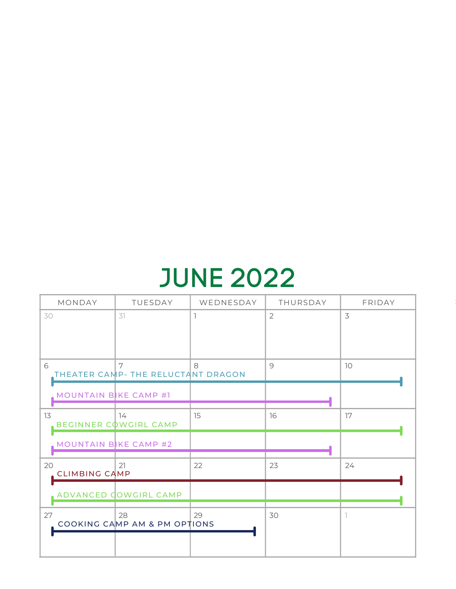## JUNE 2022

| MONDAY                | TUESDAY                                 | WEDNESDAY | THURSDAY       | FRIDAY |
|-----------------------|-----------------------------------------|-----------|----------------|--------|
| 30                    | 31                                      |           | $\overline{2}$ | 3      |
|                       |                                         |           |                |        |
|                       |                                         |           |                |        |
| 6                     | 7<br>THEATER CAMP- THE RELUCTANT DRAGON | 8         | 9              | 10     |
|                       |                                         |           |                |        |
| MOUNTAIN BIKE CAMP #1 |                                         |           |                |        |
| 13                    | 14<br><b>BEGINNER COWGIRL CAMP</b>      | 15        | 16             | 17     |
|                       |                                         |           |                |        |
| MOUNTAIN BIKE CAMP #2 |                                         |           |                |        |
| 20                    | 21                                      | 22        | 23             | 24     |
| <b>CLIMBING CAMP</b>  |                                         |           |                |        |
|                       | ADVANCED COWGIRL CAMP                   |           |                |        |
| 27                    | 28                                      | 29        | 30             |        |
|                       | COOKING CAMP AM & PM OPTIONS            |           |                |        |
|                       |                                         |           |                |        |
|                       |                                         |           |                |        |